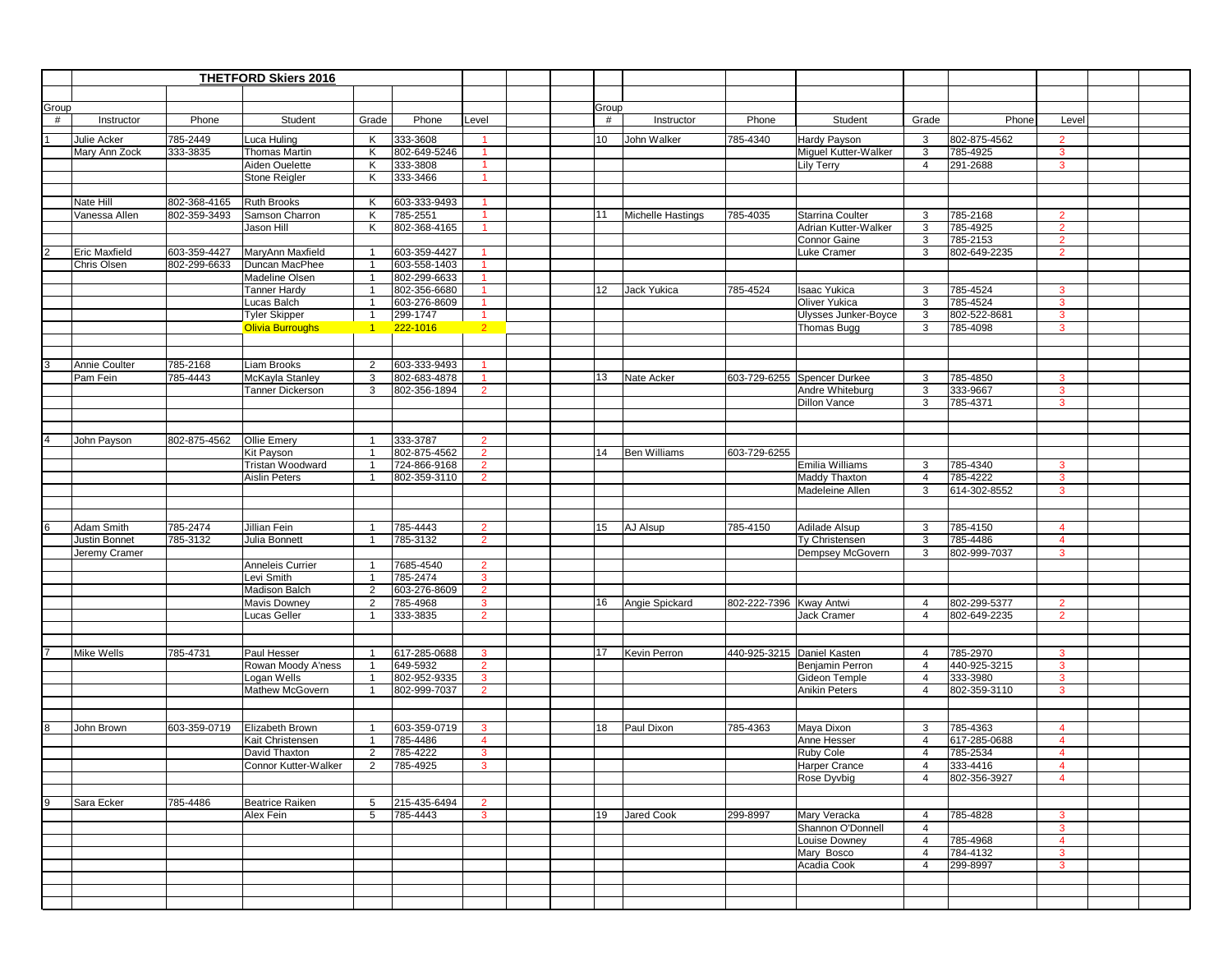|       | <b>THETFORD Skiers 2016</b> |                      |                                 |                                  |                          |                                |                 |       |                     |                            |                                           |                     |                      |                |  |
|-------|-----------------------------|----------------------|---------------------------------|----------------------------------|--------------------------|--------------------------------|-----------------|-------|---------------------|----------------------------|-------------------------------------------|---------------------|----------------------|----------------|--|
|       |                             |                      |                                 |                                  |                          |                                |                 |       |                     |                            |                                           |                     |                      |                |  |
| Group |                             |                      |                                 |                                  |                          |                                |                 | Group |                     |                            |                                           |                     |                      |                |  |
| #     | Instructor                  | Phone                | Student                         | Grade                            | Phone                    | Level                          |                 | #     | Instructor          | Phone                      | Student                                   | Grade               | Phone                | Level          |  |
|       |                             |                      |                                 |                                  |                          |                                |                 |       |                     |                            |                                           |                     |                      |                |  |
|       | Julie Acker                 | 785-2449<br>333-3835 | Luca Huling                     | Κ                                | 333-3608                 | $\overline{1}$                 | 10              |       | John Walker         | 785-4340                   | Hardy Payson                              | 3                   | 802-875-4562         | $\overline{2}$ |  |
|       | Mary Ann Zock               |                      | Thomas Martin<br>Aiden Ouelette | Κ<br>К                           | 802-649-5246<br>333-3808 | $\overline{1}$                 |                 |       |                     |                            | Miguel Kutter-Walker<br><b>Lily Terry</b> | 3<br>$\overline{4}$ | 785-4925             | 3<br>3         |  |
|       |                             |                      | Stone Reigler                   | K                                | 333-3466                 | $\overline{1}$                 |                 |       |                     |                            |                                           |                     | 291-2688             |                |  |
|       |                             |                      |                                 |                                  |                          |                                |                 |       |                     |                            |                                           |                     |                      |                |  |
|       | Nate Hill                   | 802-368-4165         | <b>Ruth Brooks</b>              | K                                | 603-333-9493             |                                |                 |       |                     |                            |                                           |                     |                      |                |  |
|       | Vanessa Allen               | 802-359-3493         | Samson Charron                  | K                                | 785-2551                 | $\mathbf{1}$                   | 11              |       | Michelle Hastings   | 785-4035                   | Starrina Coulter                          | 3                   | 785-2168             | $\overline{2}$ |  |
|       |                             |                      | Jason Hill                      | K                                | 802-368-4165             |                                |                 |       |                     |                            | Adrian Kutter-Walker                      | 3                   | 785-4925             | $\overline{2}$ |  |
|       |                             |                      |                                 |                                  |                          |                                |                 |       |                     |                            | Connor Gaine                              | 3                   | 785-2153             | $\overline{2}$ |  |
|       | Eric Maxfield               | 603-359-4427         | MaryAnn Maxfield                | $\overline{1}$                   | 603-359-4427             | $\overline{1}$                 |                 |       |                     |                            | Luke Cramer                               | 3                   | 802-649-2235         | $\overline{2}$ |  |
|       | Chris Olsen                 | 802-299-6633         | Duncan MacPhee                  | $\overline{1}$                   | 603-558-1403             |                                |                 |       |                     |                            |                                           |                     |                      |                |  |
|       |                             |                      | Madeline Olsen                  | $\overline{1}$                   | 802-299-6633             |                                |                 |       |                     |                            |                                           |                     |                      |                |  |
|       |                             |                      | <b>Tanner Hardy</b>             | $\overline{1}$                   | 802-356-6680             | $\blacktriangleleft$           | 12 <sup>2</sup> |       | Jack Yukica         | 785-4524                   | <b>Isaac Yukica</b>                       | 3                   | 785-4524             | $\mathbf{3}$   |  |
|       |                             |                      | Lucas Balch                     | $\overline{1}$                   | 603-276-8609             | $\overline{1}$                 |                 |       |                     |                            | Oliver Yukica                             | 3                   | 785-4524             | 3              |  |
|       |                             |                      | <b>Tyler Skipper</b>            | $\overline{1}$                   | 299-1747                 | $\overline{1}$                 |                 |       |                     |                            | Ulysses Junker-Boyce                      | 3                   | 802-522-8681         | 3              |  |
|       |                             |                      | <b>Olivia Burroughs</b>         | $1 -$                            | 222-1016                 | $2^{\circ}$                    |                 |       |                     |                            | Thomas Bugg                               | 3                   | 785-4098             | 3              |  |
|       |                             |                      |                                 |                                  |                          |                                |                 |       |                     |                            |                                           |                     |                      |                |  |
|       |                             |                      |                                 |                                  |                          |                                |                 |       |                     |                            |                                           |                     |                      |                |  |
|       | Annie Coulter               | 785-2168             | Liam Brooks                     | 2                                | 603-333-9493             |                                |                 |       |                     |                            |                                           |                     |                      |                |  |
|       | Pam Fein                    | 785-4443             | McKayla Stanley                 | 3<br>3                           | 802-683-4878             | -1<br>$\overline{2}$           | 13              |       | Nate Acker          |                            | 603-729-6255 Spencer Durkee               | 3<br>3              | 785-4850<br>333-9667 | 3<br>3         |  |
|       |                             |                      | Tanner Dickerson                |                                  | 802-356-1894             |                                |                 |       |                     |                            | Andre Whiteburg<br><b>Dillon Vance</b>    | 3                   | 785-4371             | 3              |  |
|       |                             |                      |                                 |                                  |                          |                                |                 |       |                     |                            |                                           |                     |                      |                |  |
|       |                             |                      |                                 |                                  |                          |                                |                 |       |                     |                            |                                           |                     |                      |                |  |
|       | John Payson                 | 802-875-4562         | Ollie Emery                     | $\overline{1}$                   | 333-3787                 | $\overline{2}$                 |                 |       |                     |                            |                                           |                     |                      |                |  |
|       |                             |                      | Kit Payson                      | $\overline{1}$                   | 802-875-4562             | $\overline{2}$                 | 14              |       | <b>Ben Williams</b> | 603-729-6255               |                                           |                     |                      |                |  |
|       |                             |                      | Tristan Woodward                |                                  | 724-866-9168             | $\overline{2}$                 |                 |       |                     |                            | Emilia Williams                           | 3                   | 785-4340             | 3              |  |
|       |                             |                      | <b>Aislin Peters</b>            | $\overline{1}$                   | 802-359-3110             | $\overline{2}$                 |                 |       |                     |                            | Maddy Thaxton                             | $\overline{4}$      | 785-4222             | $\mathbf{3}$   |  |
|       |                             |                      |                                 |                                  |                          |                                |                 |       |                     |                            | Madeleine Allen                           | 3                   | 614-302-8552         | 3              |  |
|       |                             |                      |                                 |                                  |                          |                                |                 |       |                     |                            |                                           |                     |                      |                |  |
|       |                             |                      |                                 |                                  |                          |                                |                 |       |                     |                            |                                           |                     |                      |                |  |
|       | Adam Smith                  | 785-2474             | Jillian Fein                    | $\overline{1}$                   | 785-4443                 | $\overline{2}$                 | 15              |       | AJ Alsup            | 785-4150                   | Adilade Alsup                             | 3                   | 785-4150             | 4              |  |
|       | Justin Bonnet               | 785-3132             | Julia Bonnett                   | $\overline{1}$                   | 785-3132                 | $\overline{2}$                 |                 |       |                     |                            | Ty Christensen                            | 3                   | 785-4486             | $\overline{4}$ |  |
|       | Jeremy Cramer               |                      |                                 |                                  |                          |                                |                 |       |                     |                            | Dempsey McGovern                          | 3                   | 802-999-7037         | 3              |  |
|       |                             |                      | Anneleis Currier                | $\overline{1}$                   | 7685-4540                | $\overline{2}$                 |                 |       |                     |                            |                                           |                     |                      |                |  |
|       |                             |                      | Levi Smith                      | -1                               | 785-2474                 | 3                              |                 |       |                     |                            |                                           |                     |                      |                |  |
|       |                             |                      | Madison Balch<br>Mavis Downey   | $\overline{2}$<br>$\overline{2}$ | 603-276-8609<br>785-4968 | $\overline{2}$<br>$\mathbf{3}$ | 16              |       | Angie Spickard      | 802-222-7396 Kway Antwi    |                                           | $\overline{4}$      | 802-299-5377         | $\overline{2}$ |  |
|       |                             |                      | Lucas Geller                    | $\mathbf{1}$                     | 333-3835                 | $\overline{2}$                 |                 |       |                     |                            | Jack Cramer                               | $\overline{4}$      | 802-649-2235         | $\overline{2}$ |  |
|       |                             |                      |                                 |                                  |                          |                                |                 |       |                     |                            |                                           |                     |                      |                |  |
|       |                             |                      |                                 |                                  |                          |                                |                 |       |                     |                            |                                           |                     |                      |                |  |
|       | Mike Wells                  | 785-4731             | Paul Hesser                     | $\mathbf{1}$                     | 617-285-0688             | 3                              | 17              |       | Kevin Perron        | 440-925-3215 Daniel Kasten |                                           | $\overline{4}$      | 785-2970             | 3              |  |
|       |                             |                      | Rowan Moody A'ness              |                                  | 649-5932                 | $\overline{2}$                 |                 |       |                     |                            | Benjamin Perron                           | $\overline{4}$      | 440-925-3215         | 3              |  |
|       |                             |                      | Logan Wells                     | $\overline{1}$                   | 802-952-9335             | $\mathbf{3}$                   |                 |       |                     |                            | Gideon Temple                             | $\overline{4}$      | 333-3980             | 3              |  |
|       |                             |                      | Mathew McGovern                 | $\mathbf{1}$                     | 802-999-7037             | $\overline{2}$                 |                 |       |                     |                            | <b>Anikin Peters</b>                      | $\overline{4}$      | 802-359-3110         | $\mathbf{3}$   |  |
|       |                             |                      |                                 |                                  |                          |                                |                 |       |                     |                            |                                           |                     |                      |                |  |
|       |                             |                      |                                 |                                  |                          |                                |                 |       |                     |                            |                                           |                     |                      |                |  |
|       | John Brown                  | 603-359-0719         | Elizabeth Brown                 | $\overline{1}$                   | 603-359-0719             | 3                              | 18              |       | Paul Dixon          | 785-4363                   | Maya Dixon                                | 3                   | 785-4363             | $\overline{4}$ |  |
|       |                             |                      | Kait Christensen                |                                  | 785-4486                 | $\overline{4}$                 |                 |       |                     |                            | Anne Hesser                               | $\overline{4}$      | 617-285-0688         | 4              |  |
|       |                             |                      | David Thaxton                   | 2                                | 785-4222                 | $\mathbf{3}$                   |                 |       |                     |                            | Ruby Cole                                 | $\overline{4}$      | 785-2534             | $\overline{4}$ |  |
|       |                             |                      | Connor Kutter-Walker            | $\overline{2}$                   | 785-4925                 | $\mathbf{3}$                   |                 |       |                     |                            | Harper Crance                             | $\overline{4}$      | 333-4416             | $\Delta$       |  |
|       |                             |                      |                                 |                                  |                          |                                |                 |       |                     |                            | Rose Dyvbig                               | 4                   | 802-356-3927         | 4              |  |
|       | Sara Ecker                  | 785-4486             | <b>Beatrice Raiken</b>          | 5                                | 215-435-6494             | $\overline{2}$                 |                 |       |                     |                            |                                           |                     |                      |                |  |
|       |                             |                      | Alex Fein                       | 5                                | 785-4443                 | $\mathbf{3}$                   | 19              |       | Jared Cook          | 299-8997                   | Mary Veracka                              | $\overline{4}$      | 785-4828             | $\mathbf{3}$   |  |
|       |                             |                      |                                 |                                  |                          |                                |                 |       |                     |                            | Shannon O'Donnell                         | $\overline{4}$      |                      | $\mathbf{3}$   |  |
|       |                             |                      |                                 |                                  |                          |                                |                 |       |                     |                            | Louise Downey                             | $\overline{4}$      | 785-4968             | $\overline{4}$ |  |
|       |                             |                      |                                 |                                  |                          |                                |                 |       |                     |                            | Mary Bosco                                | $\overline{4}$      | 784-4132             | $\mathbf{3}$   |  |
|       |                             |                      |                                 |                                  |                          |                                |                 |       |                     |                            | Acadia Cook                               | $\overline{4}$      | 299-8997             | 3              |  |
|       |                             |                      |                                 |                                  |                          |                                |                 |       |                     |                            |                                           |                     |                      |                |  |
|       |                             |                      |                                 |                                  |                          |                                |                 |       |                     |                            |                                           |                     |                      |                |  |
|       |                             |                      |                                 |                                  |                          |                                |                 |       |                     |                            |                                           |                     |                      |                |  |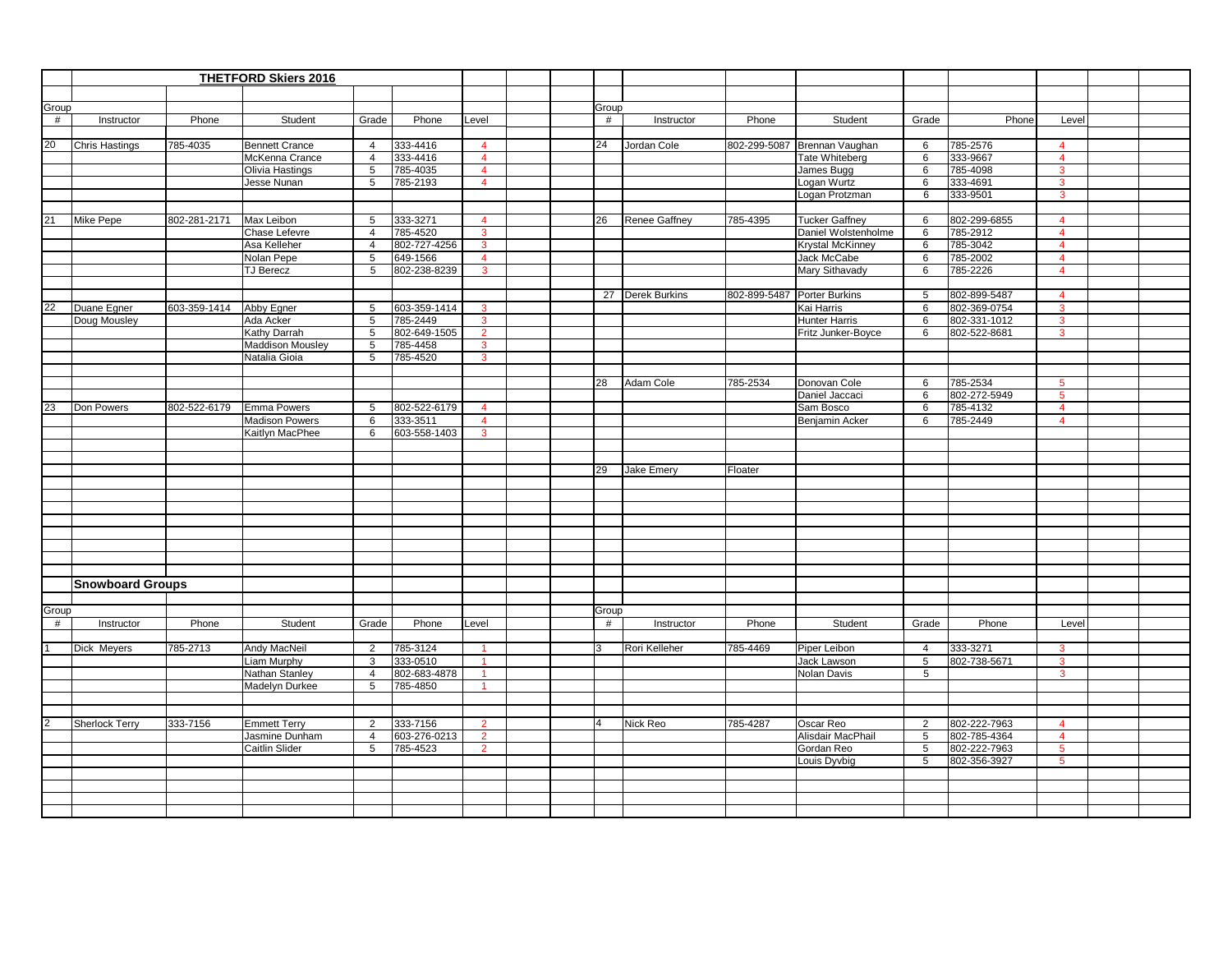|                 | <b>THETFORD Skiers 2016</b> |              |                                         |                     |                          |                                |          |                      |          |                              |                     |                          |                   |  |
|-----------------|-----------------------------|--------------|-----------------------------------------|---------------------|--------------------------|--------------------------------|----------|----------------------|----------|------------------------------|---------------------|--------------------------|-------------------|--|
|                 |                             |              |                                         |                     |                          |                                |          |                      |          |                              |                     |                          |                   |  |
| Group           |                             |              |                                         |                     |                          |                                | Group    |                      |          |                              |                     |                          |                   |  |
| #               | Instructor                  | Phone        | Student                                 | Grade               | Phone                    | Level                          | #        | Instructor           | Phone    | Student                      | Grade               | Phone                    | Level             |  |
|                 |                             |              |                                         |                     |                          |                                |          |                      |          |                              |                     |                          |                   |  |
| 20              | Chris Hastings              | 785-4035     | <b>Bennett Crance</b>                   | $\overline{4}$      | 333-4416                 | $\overline{4}$                 | 24       | Jordan Cole          |          | 802-299-5087 Brennan Vaughan | 6                   | 785-2576                 | $\overline{4}$    |  |
|                 |                             |              | McKenna Crance                          | $\overline{4}$      | 333-4416                 | $\overline{4}$                 |          |                      |          | <b>Tate Whiteberg</b>        | 6                   | 333-9667                 | $\overline{4}$    |  |
|                 |                             |              | Olivia Hastings                         | 5                   | 785-4035                 | $\overline{4}$                 |          |                      |          | James Bugg                   | $6\phantom{1}6$     | 785-4098                 | $\mathbf{3}$      |  |
|                 |                             |              | Jesse Nunan                             | 5                   | 785-2193                 | $\overline{4}$                 |          |                      |          | Logan Wurtz                  | 6                   | 333-4691                 | $\mathbf{3}$      |  |
|                 |                             |              |                                         |                     |                          |                                |          |                      |          | Logan Protzman               | 6                   | 333-9501                 | 3                 |  |
|                 |                             |              |                                         |                     |                          |                                |          |                      |          |                              |                     |                          |                   |  |
| 21              | Mike Pepe                   | 802-281-2171 | Max Leibon                              | 5                   | 333-3271                 | $\overline{4}$                 | 26       | <b>Renee Gaffney</b> | 785-4395 | <b>Tucker Gaffney</b>        | 6                   | 802-299-6855             | $\overline{4}$    |  |
|                 |                             |              | Chase Lefevre                           | $\overline{4}$      | 785-4520                 | $\mathbf{3}$                   |          |                      |          | Daniel Wolstenholme          | 6                   | 785-2912                 | $\overline{4}$    |  |
|                 |                             |              | Asa Kelleher                            | $\overline{4}$      | 802-727-4256             | $\mathbf{3}$                   |          |                      |          | <b>Krystal McKinney</b>      | 6                   | 785-3042                 | $\overline{4}$    |  |
|                 |                             |              | Nolan Pepe                              | $\overline{5}$      | 649-1566                 | $\overline{4}$                 |          |                      |          | <b>Jack McCabe</b>           | 6                   | 785-2002                 | $\overline{4}$    |  |
|                 |                             |              | <b>TJ Berecz</b>                        | 5                   | 802-238-8239             | $\mathbf{3}$                   |          |                      |          | Mary Sithavady               | 6                   | 785-2226                 | $\overline{4}$    |  |
|                 |                             |              |                                         |                     |                          |                                |          |                      |          |                              |                     |                          |                   |  |
| $\overline{22}$ |                             |              |                                         |                     |                          |                                |          | 27 Derek Burkins     |          | 802-899-5487 Porter Burkins  | 5                   | 802-899-5487             | $\overline{4}$    |  |
|                 | Duane Egner                 | 603-359-1414 | Abby Egner                              | 5                   | 603-359-1414             | $\overline{3}$                 |          |                      |          | Kai Harris                   | 6                   | 802-369-0754             | $\mathbf{3}$      |  |
|                 | Doug Mousley                |              | Ada Acker                               | 5<br>5              | 785-2449                 | $\mathbf{3}$<br>$\overline{2}$ |          |                      |          | <b>Hunter Harris</b>         | 6<br>6              | 802-331-1012             | 3<br>$\mathbf{3}$ |  |
|                 |                             |              | Kathy Darrah<br><b>Maddison Mousley</b> |                     | 802-649-1505<br>785-4458 | $\mathbf{3}$                   |          |                      |          | Fritz Junker-Boyce           |                     | 802-522-8681             |                   |  |
|                 |                             |              | Natalia Gioia                           | 5<br>5              | 785-4520                 | $\mathbf{3}$                   |          |                      |          |                              |                     |                          |                   |  |
|                 |                             |              |                                         |                     |                          |                                |          |                      |          |                              |                     |                          |                   |  |
|                 |                             |              |                                         |                     |                          |                                | 28       | Adam Cole            | 785-2534 | Donovan Cole                 | 6                   | 785-2534                 | 5                 |  |
|                 |                             |              |                                         |                     |                          |                                |          |                      |          | Daniel Jaccaci               | 6                   | 802-272-5949             | $5^{\circ}$       |  |
| 23              | Don Powers                  | 802-522-6179 | <b>Emma Powers</b>                      | 5                   | 802-522-6179             | $\overline{4}$                 |          |                      |          | Sam Bosco                    | 6                   | 785-4132                 | $\overline{4}$    |  |
|                 |                             |              | <b>Madison Powers</b>                   | 6                   | 333-3511                 | $\overline{4}$                 |          |                      |          | Benjamin Acker               | 6                   | 785-2449                 | $\overline{4}$    |  |
|                 |                             |              | Kaitlyn MacPhee                         | 6                   | 603-558-1403             | $\mathbf{3}$                   |          |                      |          |                              |                     |                          |                   |  |
|                 |                             |              |                                         |                     |                          |                                |          |                      |          |                              |                     |                          |                   |  |
|                 |                             |              |                                         |                     |                          |                                |          |                      |          |                              |                     |                          |                   |  |
|                 |                             |              |                                         |                     |                          |                                | 29       | Jake Emery           | Floater  |                              |                     |                          |                   |  |
|                 |                             |              |                                         |                     |                          |                                |          |                      |          |                              |                     |                          |                   |  |
|                 |                             |              |                                         |                     |                          |                                |          |                      |          |                              |                     |                          |                   |  |
|                 |                             |              |                                         |                     |                          |                                |          |                      |          |                              |                     |                          |                   |  |
|                 |                             |              |                                         |                     |                          |                                |          |                      |          |                              |                     |                          |                   |  |
|                 |                             |              |                                         |                     |                          |                                |          |                      |          |                              |                     |                          |                   |  |
|                 |                             |              |                                         |                     |                          |                                |          |                      |          |                              |                     |                          |                   |  |
|                 |                             |              |                                         |                     |                          |                                |          |                      |          |                              |                     |                          |                   |  |
|                 |                             |              |                                         |                     |                          |                                |          |                      |          |                              |                     |                          |                   |  |
|                 | <b>Snowboard Groups</b>     |              |                                         |                     |                          |                                |          |                      |          |                              |                     |                          |                   |  |
|                 |                             |              |                                         |                     |                          |                                |          |                      |          |                              |                     |                          |                   |  |
| Group           |                             |              |                                         |                     |                          |                                | Group    |                      |          |                              |                     |                          |                   |  |
| #               | Instructor                  | Phone        | Student                                 | Grade               | Phone                    | Level                          | #        | Instructor           | Phone    | Student                      | Grade               | Phone                    | Level             |  |
|                 |                             |              |                                         |                     |                          |                                | 3        |                      |          |                              |                     |                          |                   |  |
|                 | Dick Meyers                 | 785-2713     | Andy MacNeil<br>Liam Murphy             | $\overline{2}$<br>3 | 785-3124<br>333-0510     | $\mathbf{1}$                   |          | Rori Kelleher        | 785-4469 | Piper Leibon<br>Jack Lawson  | $\overline{4}$<br>5 | 333-3271<br>802-738-5671 | 3<br>$\mathbf{3}$ |  |
|                 |                             |              | Nathan Stanley                          | 4                   | 802-683-4878             |                                |          |                      |          | Nolan Davis                  | $5\phantom{.0}$     |                          | 3                 |  |
|                 |                             |              | Madelyn Durkee                          | 5                   | 785-4850                 | $\mathbf{1}$                   |          |                      |          |                              |                     |                          |                   |  |
|                 |                             |              |                                         |                     |                          |                                |          |                      |          |                              |                     |                          |                   |  |
|                 |                             |              |                                         |                     |                          |                                |          |                      |          |                              |                     |                          |                   |  |
|                 | Sherlock Terry              | 333-7156     | <b>Emmett Terry</b>                     | 2                   | 333-7156                 | $\overline{2}$                 | $\Delta$ | Nick Reo             | 785-4287 | Oscar Reo                    | $\overline{2}$      | 802-222-7963             | $\overline{4}$    |  |
|                 |                             |              | Jasmine Dunham                          | 4                   | 603-276-0213             | $\overline{2}$                 |          |                      |          | Alisdair MacPhail            | 5                   | 802-785-4364             | $\overline{4}$    |  |
|                 |                             |              | Caitlin Slider                          | 5                   | 785-4523                 | $\overline{2}$                 |          |                      |          | Gordan Reo                   | 5                   | 802-222-7963             | $5\phantom{.0}$   |  |
|                 |                             |              |                                         |                     |                          |                                |          |                      |          | Louis Dyvbig                 | 5                   | 802-356-3927             | $5\phantom{.0}$   |  |
|                 |                             |              |                                         |                     |                          |                                |          |                      |          |                              |                     |                          |                   |  |
|                 |                             |              |                                         |                     |                          |                                |          |                      |          |                              |                     |                          |                   |  |
|                 |                             |              |                                         |                     |                          |                                |          |                      |          |                              |                     |                          |                   |  |
|                 |                             |              |                                         |                     |                          |                                |          |                      |          |                              |                     |                          |                   |  |